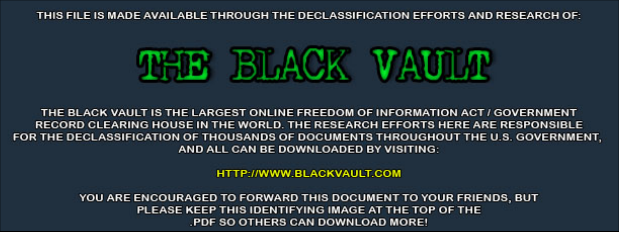THIS FILE IS MADE AVAILABLE THROUGH THE DECLASSIFICATION EFFORTS AND RESEARCH OF:



THE BLACK VAULT IS THE LARGEST ONLINE FREEDOM OF INFORMATION ACT / GOVERNMENT RECORD CLEARING HOUSE IN THE WORLD. THE RESEARCH EFFORTS HERE ARE RESPONSIBLE FOR THE DECLASSIFICATION OF THOUSANDS OF DOCUMENTS THROUGHOUT THE U.S. GOVERNMENT, AND ALL CAN BE DOWNLOADED BY VISITING:

**HTTP://WWW.BLACKVAULT.COM** 

YOU ARE ENCOURAGED TO FORWARD THIS DOCUMENT TO YOUR FRIENDS, BUT PLEASE KEEP THIS IDENTIFYING IMAGE AT THE TOP OF THE PDF SO OTHERS CAN DOWNLOAD MORE!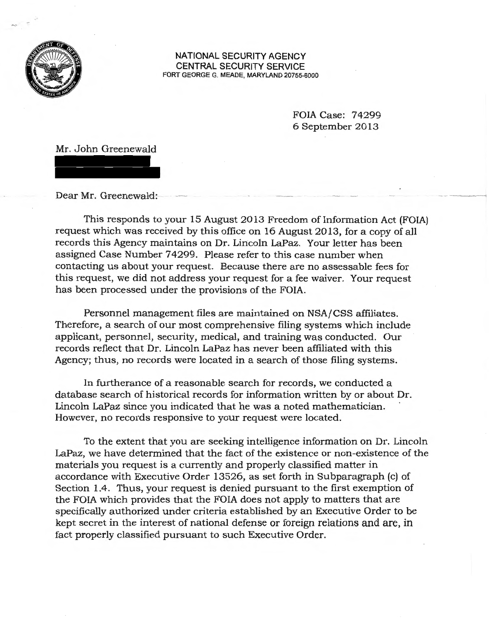

NATIONAL SECURITY AGENCY CENTRAL SECURITY SERVICE FORT GEORGE G. MEADE, MARYLAND 20755-6000

> FOIA Case: 74299 6 September 2013

Mr. John Greenewald

Dear Mr. Greenewald:

This responds to your 15 August 2013 Freedom of Information Act (FOIA) request which was received by this office on 16 August 2013, for a copy of all records this Agency maintains on Dr. Lincoln LaPaz. Your letter has been assigned Case Number 74299. Please refer to this case number when contacting us about your request. Because there are no assessable fees for this request, we did not address your request for a fee waiver. Your request has been processed under the provisions of the FOIA.

Personnel management files are maintained on NSA/CSS affiliates. Therefore, a search of our most comprehensive filing systems which include applicant, personnel, security, medical, and training was conducted. Our records reflect that Dr. Lincoln LaPaz has never been affiliated with this Agency; thus, no records were located in a search of those filing systems.

In furtherance of a reasonable search for records, we conducted a database search of historical records for information written by or about Dr. Lincoln LaPaz since you indicated that he was a noted mathematician. However, no records responsive to your request were located.

To the extent that you are seeking intelligence information on Dr. Lincoln LaPaz, we have determined that the fact of the existence or non -existence of the materials you request is a currently and properly classified matter in accordance with Executive Order 13526, as set forth in Subparagraph (c) of Section 1.4. Thus, your request is denied pursuant to the first exemption of the FOIA which provides that the FOIA does not apply to matters that are specifically authorized under criteria established by an Executive Order to be kept secret in the interest of national defense or foreign relations and are, in fact properly classified pursuant to such Executive Order.